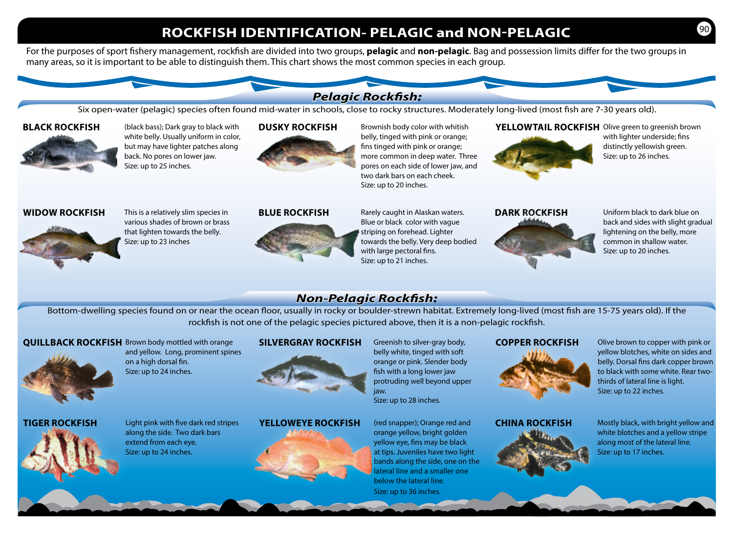# **ROCKFISH IDENTIFICATION- PELAGIC and NON-PELAGIC**

For the purposes of sport fishery management, rockfish are divided into two groups, **pelagic** and **non-pelagic**. Bag and possession limits differ for the two groups in many areas, so it is important to be able to distinguish them. This chart shows the most common species in each group.

# *Pelagic Rockfish:*

Six open-water (pelagic) species often found mid-water in schools, close to rocky structures. Moderately long-lived (most fish are 7-30 years old).

## **BLACK ROCKFISH**



(black bass); Dark gray to black with white belly. Usually uniform in color, but may have lighter patches along back. No pores on lower jaw. Size: up to 25 inches.

#### **DUSKY ROCKFISH**



Brownish body color with whitish belly, tinged with pink or orange; fins tinged with pink or orange; more common in deep water. Three pores on each side of lower jaw, and two dark bars on each cheek. Size: up to 20 inches.

# **YELLOWTAIL ROCKFISH** Olive green to greenish brown



with lighter underside; fins distinctly yellowish green. Size: up to 26 inches.

# **WIDOW ROCKFISH**



This is a relatively slim species in various shades of brown or brass that lighten towards the belly. Size: up to 23 inches

#### **BLUE ROCKFISH**



Rarely caught in Alaskan waters. Blue or black color with vague striping on forehead. Lighter towards the belly. Very deep bodied with large pectoral fins. Size: up to 21 inches.

# **DARK ROCKFISH**



Uniform black to dark blue on back and sides with slight gradual lightening on the belly, more common in shallow water. Size: up to 20 inches.

# *Non-Pelagic Rockfish:*

Bottom-dwelling species found on or near the ocean floor, usually in rocky or boulder-strewn habitat. Extremely long-lived (most fish are 15-75 years old). If the rockfish is not one of the pelagic species pictured above, then it is a non-pelagic rockfish.

# **QUILLBACK ROCKFISH** Brown body mottled with orange



on a high dorsal fin. Size: up to 24 inches.

along the side. Two dark bars extend from each eye. Size: up to 24 inches.

# **TIGER ROCKFISH** Light pink with five dark red stripes

and yellow. Long, prominent spines

#### **SILVERGRAY ROCKFISH** Greenish to silver-gray body,



# **YELLOWEYE ROCKFISH** (red snapper); Orange red and



belly white, tinged with soft orange or pink. Slender body fish with a long lower jaw protruding well beyond upper iaw. Size: up to 28 inches.

orange yellow, bright golden yellow eye, fins may be black at tips. Juveniles have two light bands along the side, one on the lateral line and a smaller one below the lateral line. Size: up to 36 inches.

### **COPPER ROCKFISH** Olive brown to copper with pink or



yellow blotches, white on sides and belly. Dorsal fins dark copper brown to black with some white. Rear twothirds of lateral line is light. Size: up to 22 inches.

**CHINA ROCKFISH** Mostly black, with bright yellow and white blotches and a yellow stripe along most of the lateral line. Size: up to 17 inches.